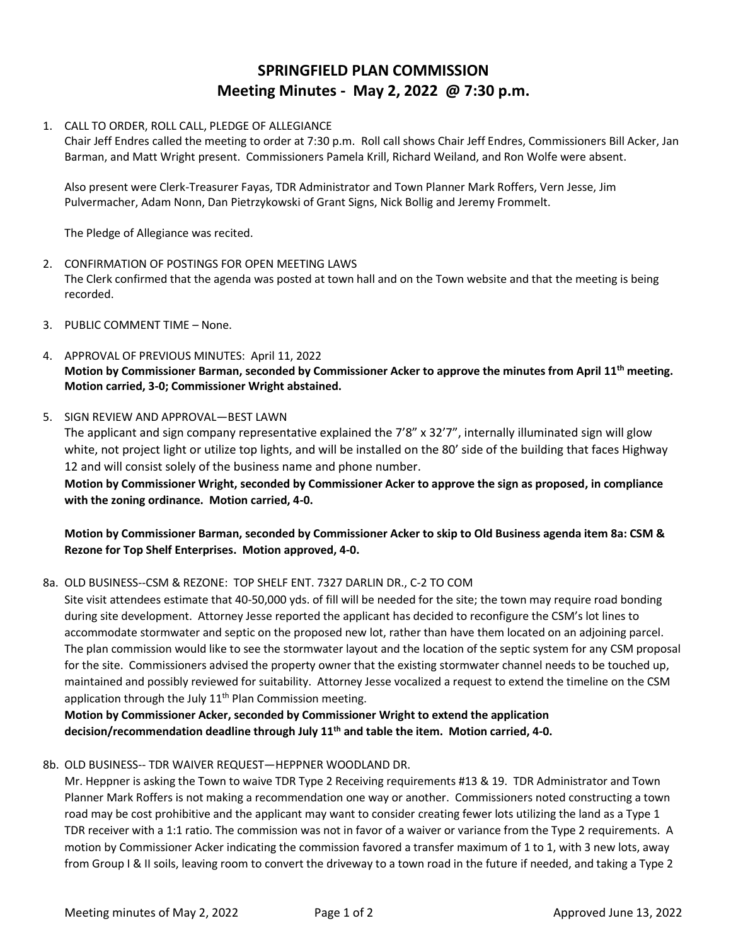# **SPRINGFIELD PLAN COMMISSION Meeting Minutes - May 2, 2022 @ 7:30 p.m.**

## 1. CALL TO ORDER, ROLL CALL, PLEDGE OF ALLEGIANCE

Chair Jeff Endres called the meeting to order at 7:30 p.m. Roll call shows Chair Jeff Endres, Commissioners Bill Acker, Jan Barman, and Matt Wright present. Commissioners Pamela Krill, Richard Weiland, and Ron Wolfe were absent.

Also present were Clerk-Treasurer Fayas, TDR Administrator and Town Planner Mark Roffers, Vern Jesse, Jim Pulvermacher, Adam Nonn, Dan Pietrzykowski of Grant Signs, Nick Bollig and Jeremy Frommelt.

The Pledge of Allegiance was recited.

- 2. CONFIRMATION OF POSTINGS FOR OPEN MEETING LAWS The Clerk confirmed that the agenda was posted at town hall and on the Town website and that the meeting is being recorded.
- 3. PUBLIC COMMENT TIME None.
- 4. APPROVAL OF PREVIOUS MINUTES: April 11, 2022 **Motion by Commissioner Barman, seconded by Commissioner Acker to approve the minutes from April 11th meeting. Motion carried, 3-0; Commissioner Wright abstained.**

### 5. SIGN REVIEW AND APPROVAL—BEST LAWN

The applicant and sign company representative explained the 7'8" x 32'7", internally illuminated sign will glow white, not project light or utilize top lights, and will be installed on the 80' side of the building that faces Highway 12 and will consist solely of the business name and phone number.

**Motion by Commissioner Wright, seconded by Commissioner Acker to approve the sign as proposed, in compliance with the zoning ordinance. Motion carried, 4-0.**

## **Motion by Commissioner Barman, seconded by Commissioner Acker to skip to Old Business agenda item 8a: CSM & Rezone for Top Shelf Enterprises. Motion approved, 4-0.**

#### 8a. OLD BUSINESS--CSM & REZONE: TOP SHELF ENT. 7327 DARLIN DR., C-2 TO COM

Site visit attendees estimate that 40-50,000 yds. of fill will be needed for the site; the town may require road bonding during site development. Attorney Jesse reported the applicant has decided to reconfigure the CSM's lot lines to accommodate stormwater and septic on the proposed new lot, rather than have them located on an adjoining parcel. The plan commission would like to see the stormwater layout and the location of the septic system for any CSM proposal for the site. Commissioners advised the property owner that the existing stormwater channel needs to be touched up, maintained and possibly reviewed for suitability. Attorney Jesse vocalized a request to extend the timeline on the CSM application through the July  $11<sup>th</sup>$  Plan Commission meeting.

**Motion by Commissioner Acker, seconded by Commissioner Wright to extend the application decision/recommendation deadline through July 11th and table the item. Motion carried, 4-0.**

#### 8b. OLD BUSINESS-- TDR WAIVER REQUEST—HEPPNER WOODLAND DR.

Mr. Heppner is asking the Town to waive TDR Type 2 Receiving requirements #13 & 19. TDR Administrator and Town Planner Mark Roffers is not making a recommendation one way or another. Commissioners noted constructing a town road may be cost prohibitive and the applicant may want to consider creating fewer lots utilizing the land as a Type 1 TDR receiver with a 1:1 ratio. The commission was not in favor of a waiver or variance from the Type 2 requirements. A motion by Commissioner Acker indicating the commission favored a transfer maximum of 1 to 1, with 3 new lots, away from Group I & II soils, leaving room to convert the driveway to a town road in the future if needed, and taking a Type 2